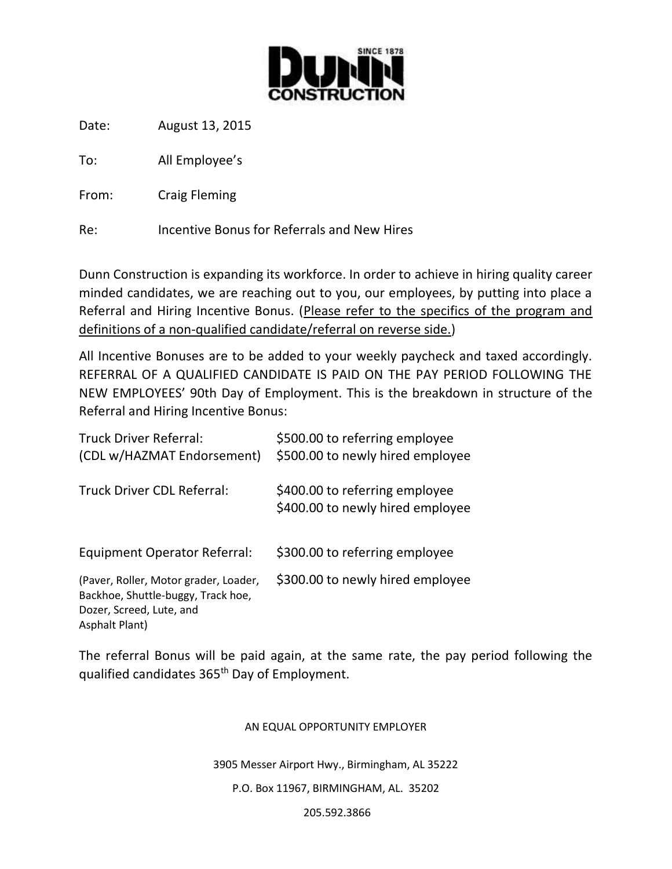

Date: August 13, 2015

To: All Employee's

From: Craig Fleming

Re: Incentive Bonus for Referrals and New Hires

Dunn Construction is expanding its workforce. In order to achieve in hiring quality career minded candidates, we are reaching out to you, our employees, by putting into place a Referral and Hiring Incentive Bonus. (Please refer to the specifics of the program and definitions of a non-qualified candidate/referral on reverse side.)

All Incentive Bonuses are to be added to your weekly paycheck and taxed accordingly. REFERRAL OF A QUALIFIED CANDIDATE IS PAID ON THE PAY PERIOD FOLLOWING THE NEW EMPLOYEES' 90th Day of Employment. This is the breakdown in structure of the Referral and Hiring Incentive Bonus:

| <b>Truck Driver Referral:</b><br>(CDL w/HAZMAT Endorsement)                                                               | \$500.00 to referring employee<br>\$500.00 to newly hired employee |
|---------------------------------------------------------------------------------------------------------------------------|--------------------------------------------------------------------|
| Truck Driver CDL Referral:                                                                                                | \$400.00 to referring employee<br>\$400.00 to newly hired employee |
| <b>Equipment Operator Referral:</b>                                                                                       | \$300.00 to referring employee                                     |
| (Paver, Roller, Motor grader, Loader,<br>Backhoe, Shuttle-buggy, Track hoe,<br>Dozer, Screed, Lute, and<br>Asphalt Plant) | \$300.00 to newly hired employee                                   |

The referral Bonus will be paid again, at the same rate, the pay period following the qualified candidates 365<sup>th</sup> Day of Employment.

## AN EQUAL OPPORTUNITY EMPLOYER

3905 Messer Airport Hwy., Birmingham, AL 35222

## P.O. Box 11967, BIRMINGHAM, AL. 35202

#### 205.592.3866